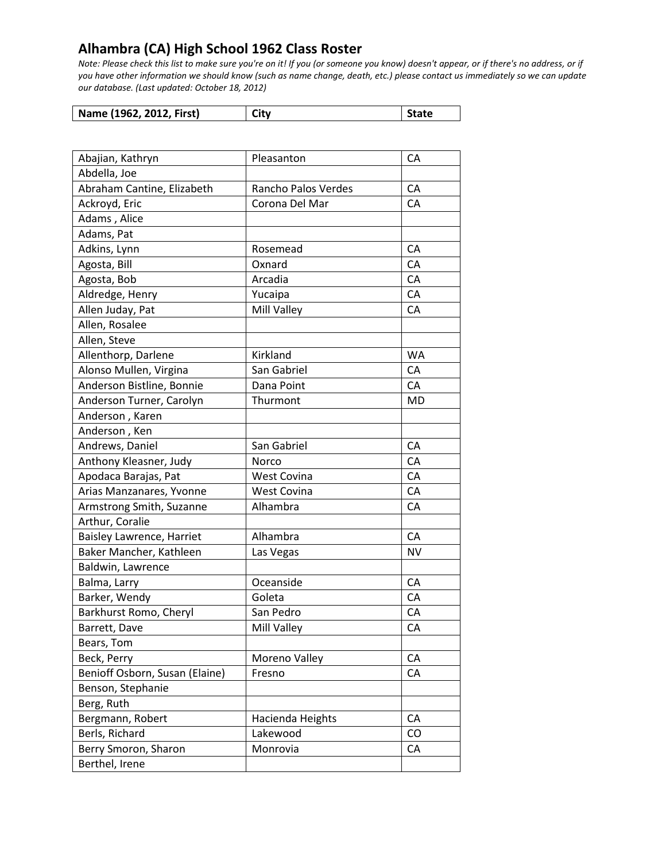| Name (1962, 2012, First) | City | State |
|--------------------------|------|-------|
|--------------------------|------|-------|

| Abajian, Kathryn               | Pleasanton          | CA        |
|--------------------------------|---------------------|-----------|
| Abdella, Joe                   |                     |           |
| Abraham Cantine, Elizabeth     | Rancho Palos Verdes | CA        |
| Ackroyd, Eric                  | Corona Del Mar      | CA        |
| Adams, Alice                   |                     |           |
| Adams, Pat                     |                     |           |
| Adkins, Lynn                   | Rosemead            | CA        |
| Agosta, Bill                   | Oxnard              | CA        |
| Agosta, Bob                    | Arcadia             | CA        |
| Aldredge, Henry                | Yucaipa             | CA        |
| Allen Juday, Pat               | Mill Valley         | CA        |
| Allen, Rosalee                 |                     |           |
| Allen, Steve                   |                     |           |
| Allenthorp, Darlene            | Kirkland            | WA        |
| Alonso Mullen, Virgina         | San Gabriel         | CA        |
| Anderson Bistline, Bonnie      | Dana Point          | CA        |
| Anderson Turner, Carolyn       | Thurmont            | <b>MD</b> |
| Anderson, Karen                |                     |           |
| Anderson, Ken                  |                     |           |
| Andrews, Daniel                | San Gabriel         | CA        |
| Anthony Kleasner, Judy         | Norco               | CA        |
| Apodaca Barajas, Pat           | <b>West Covina</b>  | CA        |
| Arias Manzanares, Yvonne       | <b>West Covina</b>  | CA        |
| Armstrong Smith, Suzanne       | Alhambra            | CA        |
| Arthur, Coralie                |                     |           |
| Baisley Lawrence, Harriet      | Alhambra            | CA        |
| Baker Mancher, Kathleen        | Las Vegas           | <b>NV</b> |
| Baldwin, Lawrence              |                     |           |
| Balma, Larry                   | Oceanside           | CA        |
| Barker, Wendy                  | Goleta              | CA        |
| Barkhurst Romo, Cheryl         | San Pedro           | CA        |
| Barrett, Dave                  | Mill Valley         | CA        |
| Bears, Tom                     |                     |           |
| Beck, Perry                    | Moreno Valley       | CA        |
| Benioff Osborn, Susan (Elaine) | Fresno              | CA        |
| Benson, Stephanie              |                     |           |
| Berg, Ruth                     |                     |           |
| Bergmann, Robert               | Hacienda Heights    | CA        |
| Berls, Richard                 | Lakewood            | CO        |
| Berry Smoron, Sharon           | Monrovia            | CA        |
| Berthel, Irene                 |                     |           |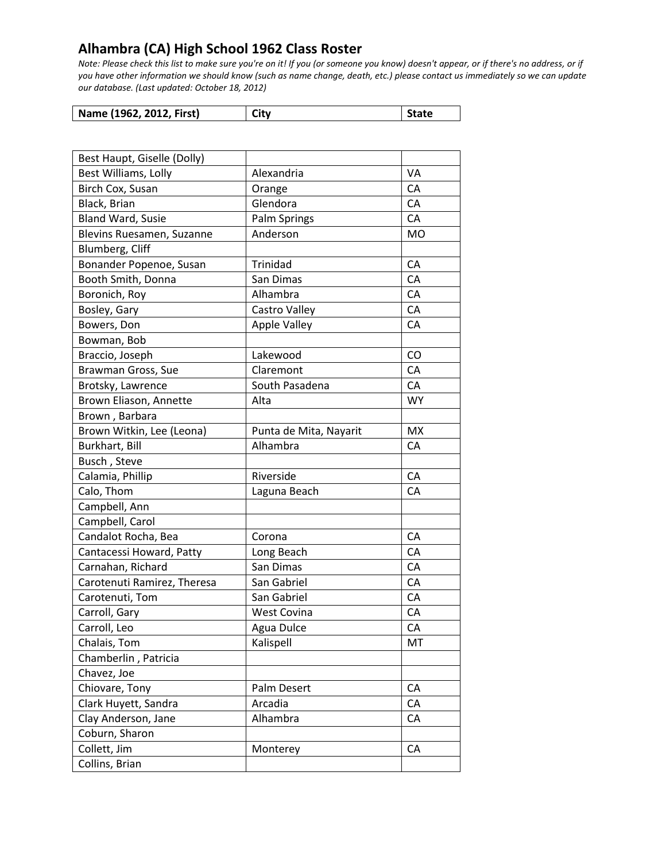| Name (1962, 2012, First) | City | <b>State</b> |
|--------------------------|------|--------------|
|--------------------------|------|--------------|

| Best Haupt, Giselle (Dolly) |                        |            |
|-----------------------------|------------------------|------------|
| Best Williams, Lolly        | Alexandria             | VA         |
| Birch Cox, Susan            | Orange                 | CA         |
| Black, Brian                | Glendora               | CA         |
| <b>Bland Ward, Susie</b>    | <b>Palm Springs</b>    | CA         |
| Blevins Ruesamen, Suzanne   | Anderson               | <b>MO</b>  |
| Blumberg, Cliff             |                        |            |
| Bonander Popenoe, Susan     | Trinidad               | CA         |
| Booth Smith, Donna          | San Dimas              | CA         |
| Boronich, Roy               | Alhambra               | CA         |
| Bosley, Gary                | Castro Valley          | CA         |
| Bowers, Don                 | <b>Apple Valley</b>    | CA         |
| Bowman, Bob                 |                        |            |
| Braccio, Joseph             | Lakewood               | CO         |
| Brawman Gross, Sue          | Claremont              | CA         |
| Brotsky, Lawrence           | South Pasadena         | CA         |
| Brown Eliason, Annette      | Alta                   | <b>WY</b>  |
| Brown, Barbara              |                        |            |
| Brown Witkin, Lee (Leona)   | Punta de Mita, Nayarit | <b>MX</b>  |
| Burkhart, Bill              | Alhambra               | CA         |
| Busch, Steve                |                        |            |
| Calamia, Phillip            | Riverside              | CA         |
| Calo, Thom                  | Laguna Beach           | CA         |
| Campbell, Ann               |                        |            |
| Campbell, Carol             |                        |            |
| Candalot Rocha, Bea         | Corona                 | ${\sf CA}$ |
| Cantacessi Howard, Patty    | Long Beach             | CA         |
| Carnahan, Richard           | San Dimas              | CA         |
| Carotenuti Ramirez, Theresa | San Gabriel            | CA         |
| Carotenuti, Tom             | San Gabriel            | CA         |
| Carroll, Gary               | <b>West Covina</b>     | CA         |
| Carroll, Leo                | Agua Dulce             | CA         |
| Chalais, Tom                | Kalispell              | MT         |
| Chamberlin, Patricia        |                        |            |
| Chavez, Joe                 |                        |            |
| Chiovare, Tony              | Palm Desert            | CA         |
| Clark Huyett, Sandra        | Arcadia                | CA         |
| Clay Anderson, Jane         | Alhambra               | CA         |
| Coburn, Sharon              |                        |            |
| Collett, Jim                | Monterey               | CA         |
| Collins, Brian              |                        |            |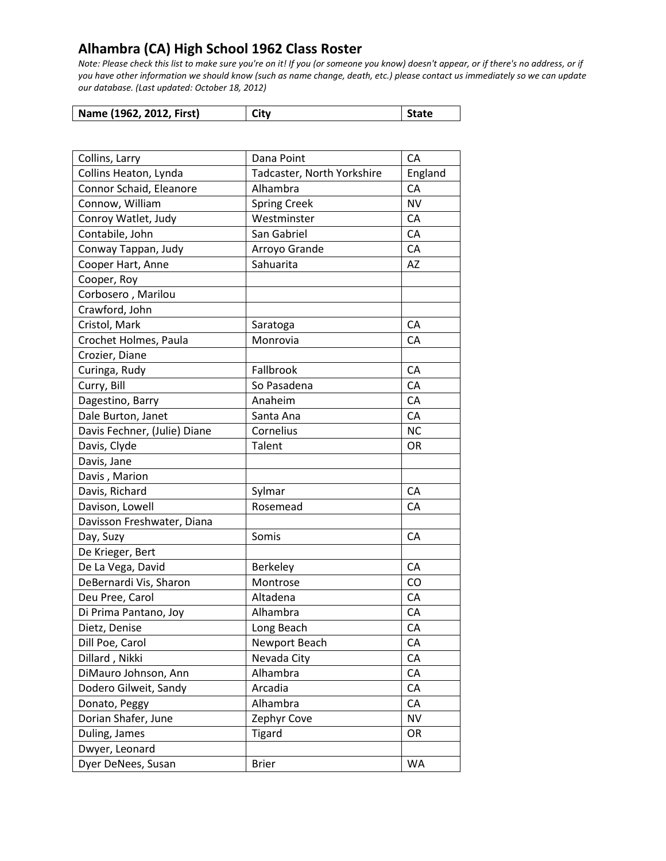| Name (1962, 2012, First) | City | <b>State</b> |
|--------------------------|------|--------------|

| Collins, Larry               | Dana Point                 | CA        |
|------------------------------|----------------------------|-----------|
| Collins Heaton, Lynda        | Tadcaster, North Yorkshire | England   |
| Connor Schaid, Eleanore      | Alhambra                   | CA        |
| Connow, William              | <b>Spring Creek</b>        | <b>NV</b> |
| Conroy Watlet, Judy          | Westminster                | CA        |
| Contabile, John              | San Gabriel                | CA        |
| Conway Tappan, Judy          | Arroyo Grande              | CA        |
| Cooper Hart, Anne            | Sahuarita                  | <b>AZ</b> |
| Cooper, Roy                  |                            |           |
| Corbosero, Marilou           |                            |           |
| Crawford, John               |                            |           |
| Cristol, Mark                | Saratoga                   | CA        |
| Crochet Holmes, Paula        | Monrovia                   | CA        |
| Crozier, Diane               |                            |           |
| Curinga, Rudy                | Fallbrook                  | CA        |
| Curry, Bill                  | So Pasadena                | CA        |
| Dagestino, Barry             | Anaheim                    | CA        |
| Dale Burton, Janet           | Santa Ana                  | CA        |
| Davis Fechner, (Julie) Diane | Cornelius                  | <b>NC</b> |
| Davis, Clyde                 | Talent                     | OR        |
| Davis, Jane                  |                            |           |
| Davis, Marion                |                            |           |
| Davis, Richard               | Sylmar                     | CA        |
| Davison, Lowell              | Rosemead                   | CA        |
| Davisson Freshwater, Diana   |                            |           |
| Day, Suzy                    | Somis                      | CA        |
| De Krieger, Bert             |                            |           |
| De La Vega, David            | Berkeley                   | CA        |
| DeBernardi Vis, Sharon       | Montrose                   | CO        |
| Deu Pree, Carol              | Altadena                   | CA        |
| Di Prima Pantano, Joy        | Alhambra                   | CA        |
| Dietz, Denise                | Long Beach                 | CA        |
| Dill Poe, Carol              | Newport Beach              | CA        |
| Dillard, Nikki               | Nevada City                | CA        |
| DiMauro Johnson, Ann         | Alhambra                   | CA        |
| Dodero Gilweit, Sandy        | Arcadia                    | CA        |
| Donato, Peggy                | Alhambra                   | CA        |
| Dorian Shafer, June          | Zephyr Cove                | <b>NV</b> |
| Duling, James                | <b>Tigard</b>              | OR        |
| Dwyer, Leonard               |                            |           |
| Dyer DeNees, Susan           | <b>Brier</b>               | <b>WA</b> |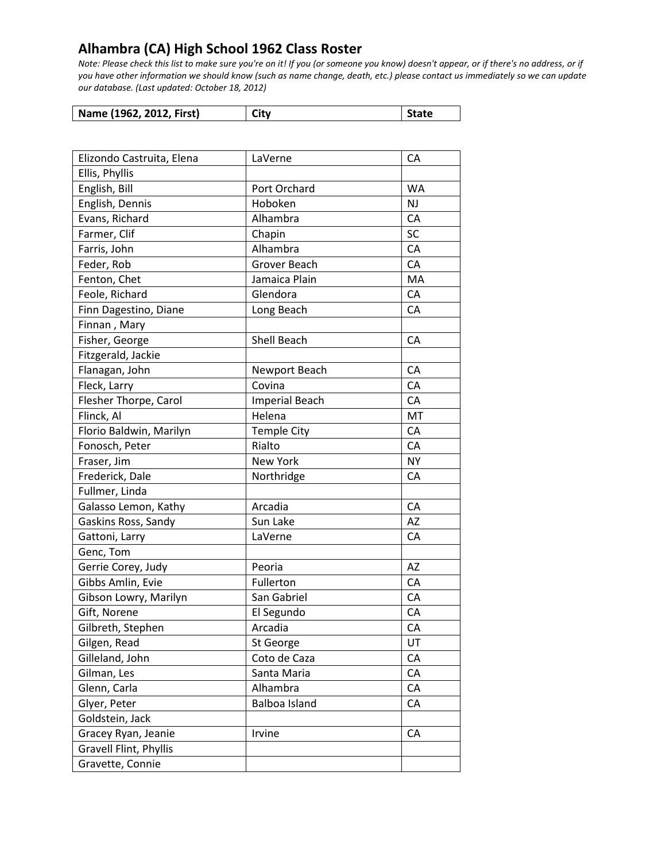| Name (1962, 2012, First) | City | State |
|--------------------------|------|-------|
|--------------------------|------|-------|

| Elizondo Castruita, Elena | LaVerne               | CA        |
|---------------------------|-----------------------|-----------|
| Ellis, Phyllis            |                       |           |
| English, Bill             | Port Orchard          | <b>WA</b> |
| English, Dennis           | Hoboken               | <b>NJ</b> |
| Evans, Richard            | Alhambra              | CA        |
| Farmer, Clif              | Chapin                | SC        |
| Farris, John              | Alhambra              | CA        |
| Feder, Rob                | Grover Beach          | CA        |
| Fenton, Chet              | Jamaica Plain         | MA        |
| Feole, Richard            | Glendora              | CA        |
| Finn Dagestino, Diane     | Long Beach            | CA        |
| Finnan, Mary              |                       |           |
| Fisher, George            | Shell Beach           | CA        |
| Fitzgerald, Jackie        |                       |           |
| Flanagan, John            | Newport Beach         | CA        |
| Fleck, Larry              | Covina                | CA        |
| Flesher Thorpe, Carol     | <b>Imperial Beach</b> | CA        |
| Flinck, Al                | Helena                | MT        |
| Florio Baldwin, Marilyn   | <b>Temple City</b>    | CA        |
| Fonosch, Peter            | Rialto                | CA        |
| Fraser, Jim               | New York              | <b>NY</b> |
| Frederick, Dale           | Northridge            | CA        |
| Fullmer, Linda            |                       |           |
| Galasso Lemon, Kathy      | Arcadia               | CA        |
| Gaskins Ross, Sandy       | Sun Lake              | AZ        |
| Gattoni, Larry            | LaVerne               | CA        |
| Genc, Tom                 |                       |           |
| Gerrie Corey, Judy        | Peoria                | AZ        |
| Gibbs Amlin, Evie         | Fullerton             | CA        |
| Gibson Lowry, Marilyn     | San Gabriel           | CA        |
| Gift, Norene              | El Segundo            | CA        |
| Gilbreth, Stephen         | Arcadia               | CA        |
| Gilgen, Read              | St George             | UT        |
| Gilleland, John           | Coto de Caza          | CA        |
| Gilman, Les               | Santa Maria           | CA        |
| Glenn, Carla              | Alhambra              | CA        |
| Glyer, Peter              | <b>Balboa Island</b>  | CA        |
| Goldstein, Jack           |                       |           |
| Gracey Ryan, Jeanie       | Irvine                | CA        |
| Gravell Flint, Phyllis    |                       |           |
| Gravette, Connie          |                       |           |
|                           |                       |           |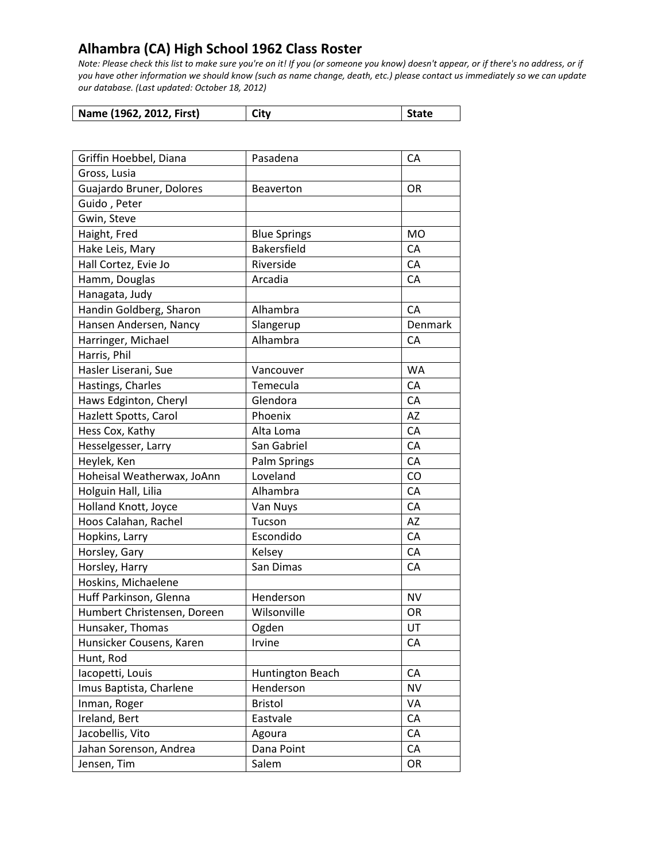| Name (1962, 2012, First) | City | State |
|--------------------------|------|-------|
|--------------------------|------|-------|

| Griffin Hoebbel, Diana      | Pasadena            | CA        |
|-----------------------------|---------------------|-----------|
| Gross, Lusia                |                     |           |
| Guajardo Bruner, Dolores    | <b>Beaverton</b>    | OR        |
| Guido, Peter                |                     |           |
| Gwin, Steve                 |                     |           |
| Haight, Fred                | <b>Blue Springs</b> | <b>MO</b> |
| Hake Leis, Mary             | Bakersfield         | CA        |
| Hall Cortez, Evie Jo        | Riverside           | CA        |
| Hamm, Douglas               | Arcadia             | CA        |
| Hanagata, Judy              |                     |           |
| Handin Goldberg, Sharon     | Alhambra            | CA        |
| Hansen Andersen, Nancy      | Slangerup           | Denmark   |
| Harringer, Michael          | Alhambra            | CA        |
| Harris, Phil                |                     |           |
| Hasler Liserani, Sue        | Vancouver           | <b>WA</b> |
| Hastings, Charles           | Temecula            | CA        |
| Haws Edginton, Cheryl       | Glendora            | CA        |
| Hazlett Spotts, Carol       | Phoenix             | AZ        |
| Hess Cox, Kathy             | Alta Loma           | CA        |
| Hesselgesser, Larry         | San Gabriel         | CA        |
| Heylek, Ken                 | Palm Springs        | CA        |
| Hoheisal Weatherwax, JoAnn  | Loveland            | CO        |
| Holguin Hall, Lilia         | Alhambra            | CA        |
| Holland Knott, Joyce        | Van Nuys            | CA        |
| Hoos Calahan, Rachel        | Tucson              | AZ        |
| Hopkins, Larry              | Escondido           | CA        |
| Horsley, Gary               | Kelsey              | CA        |
| Horsley, Harry              | San Dimas           | CA        |
| Hoskins, Michaelene         |                     |           |
| Huff Parkinson, Glenna      | Henderson           | <b>NV</b> |
| Humbert Christensen, Doreen | Wilsonville         | OR        |
| Hunsaker, Thomas            | Ogden               | UT        |
| Hunsicker Cousens, Karen    | Irvine              | CA        |
| Hunt, Rod                   |                     |           |
| lacopetti, Louis            | Huntington Beach    | CA        |
| Imus Baptista, Charlene     | Henderson           | <b>NV</b> |
| Inman, Roger                | <b>Bristol</b>      | VA        |
| Ireland, Bert               | Eastvale            | CA        |
| Jacobellis, Vito            | Agoura              | CA        |
| Jahan Sorenson, Andrea      | Dana Point          | CA        |
| Jensen, Tim                 | Salem               | OR        |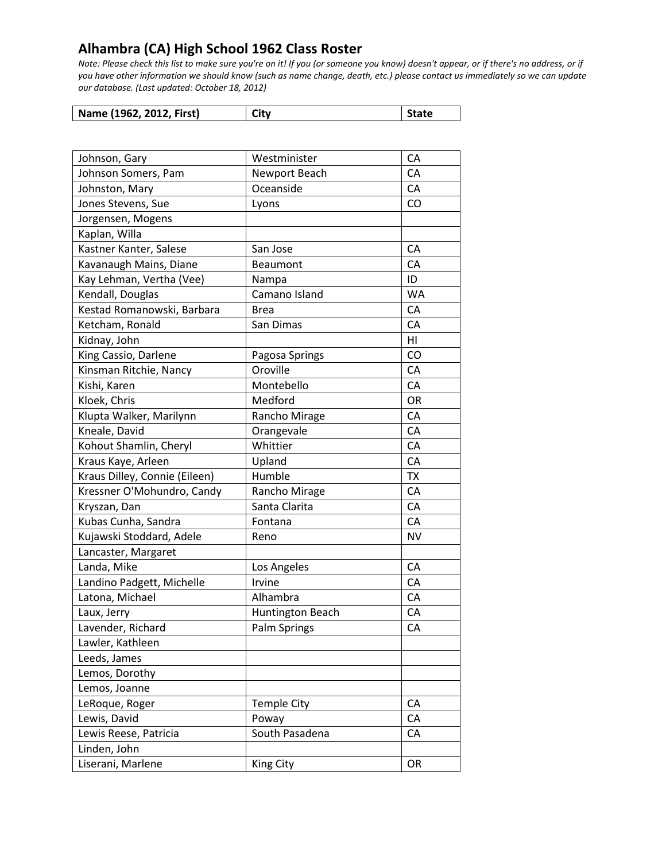| Name (1962, 2012, First) | City | <b>State</b> |
|--------------------------|------|--------------|
|--------------------------|------|--------------|

| Johnson, Gary                 | Westminister       | CA        |
|-------------------------------|--------------------|-----------|
| Johnson Somers, Pam           | Newport Beach      | CA        |
| Johnston, Mary                | Oceanside          | CA        |
| Jones Stevens, Sue            | Lyons              | CO        |
| Jorgensen, Mogens             |                    |           |
| Kaplan, Willa                 |                    |           |
| Kastner Kanter, Salese        | San Jose           | CA        |
| Kavanaugh Mains, Diane        | Beaumont           | CA        |
| Kay Lehman, Vertha (Vee)      | Nampa              | ID        |
| Kendall, Douglas              | Camano Island      | <b>WA</b> |
| Kestad Romanowski, Barbara    | <b>Brea</b>        | CA        |
| Ketcham, Ronald               | San Dimas          | CA        |
| Kidnay, John                  |                    | HI        |
| King Cassio, Darlene          | Pagosa Springs     | CO        |
| Kinsman Ritchie, Nancy        | Oroville           | CA        |
| Kishi, Karen                  | Montebello         | CA        |
| Kloek, Chris                  | Medford            | OR        |
| Klupta Walker, Marilynn       | Rancho Mirage      | CA        |
| Kneale, David                 | Orangevale         | CA        |
| Kohout Shamlin, Cheryl        | Whittier           | CA        |
| Kraus Kaye, Arleen            | Upland             | CA        |
| Kraus Dilley, Connie (Eileen) | Humble             | <b>TX</b> |
| Kressner O'Mohundro, Candy    | Rancho Mirage      | CA        |
| Kryszan, Dan                  | Santa Clarita      | CA        |
| Kubas Cunha, Sandra           | Fontana            | CA        |
| Kujawski Stoddard, Adele      | Reno               | <b>NV</b> |
| Lancaster, Margaret           |                    |           |
| Landa, Mike                   | Los Angeles        | CA        |
| Landino Padgett, Michelle     | Irvine             | CA        |
| Latona, Michael               | Alhambra           | CA        |
| Laux, Jerry                   | Huntington Beach   | CA        |
| Lavender, Richard             | Palm Springs       | CA        |
| Lawler, Kathleen              |                    |           |
| Leeds, James                  |                    |           |
| Lemos, Dorothy                |                    |           |
| Lemos, Joanne                 |                    |           |
| LeRoque, Roger                | <b>Temple City</b> | CA        |
| Lewis, David                  | Poway              | CA        |
| Lewis Reese, Patricia         | South Pasadena     | CA        |
| Linden, John                  |                    |           |
| Liserani, Marlene             | <b>King City</b>   | OR        |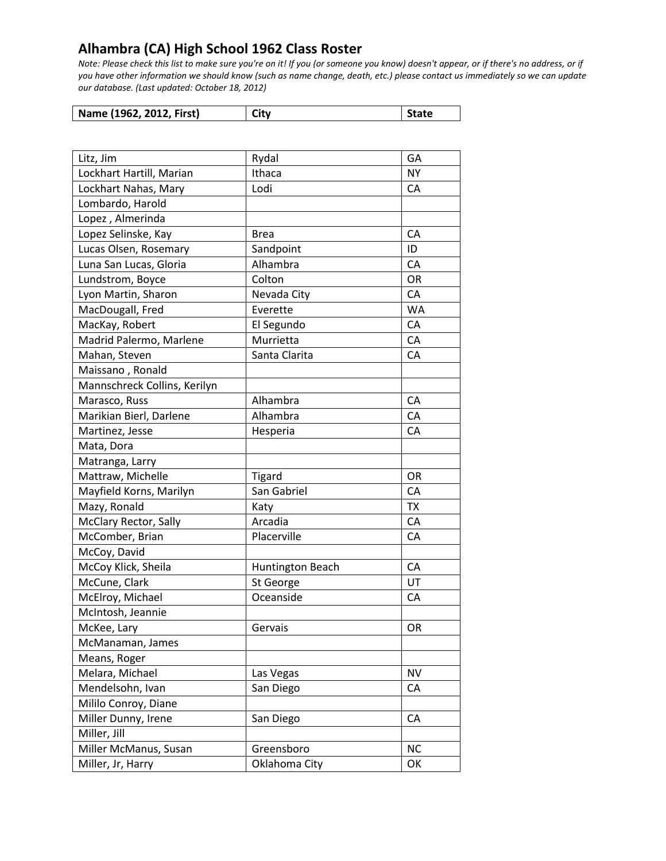| Name (1962, 2012, First) | City | <b>State</b> |
|--------------------------|------|--------------|
|--------------------------|------|--------------|

| Litz, Jim                    | Rydal            | GA        |
|------------------------------|------------------|-----------|
| Lockhart Hartill, Marian     | Ithaca           | <b>NY</b> |
| Lockhart Nahas, Mary         | Lodi             | СA        |
| Lombardo, Harold             |                  |           |
| Lopez, Almerinda             |                  |           |
| Lopez Selinske, Kay          | <b>Brea</b>      | CA        |
| Lucas Olsen, Rosemary        | Sandpoint        | ID        |
| Luna San Lucas, Gloria       | Alhambra         | CA        |
| Lundstrom, Boyce             | Colton           | OR        |
| Lyon Martin, Sharon          | Nevada City      | CA        |
| MacDougall, Fred             | Everette         | WA        |
| MacKay, Robert               | El Segundo       | CA        |
| Madrid Palermo, Marlene      | Murrietta        | CA        |
| Mahan, Steven                | Santa Clarita    | CA        |
| Maissano, Ronald             |                  |           |
| Mannschreck Collins, Kerilyn |                  |           |
| Marasco, Russ                | Alhambra         | CA        |
| Marikian Bierl, Darlene      | Alhambra         | CA        |
| Martinez, Jesse              | Hesperia         | CA        |
| Mata, Dora                   |                  |           |
| Matranga, Larry              |                  |           |
| Mattraw, Michelle            | <b>Tigard</b>    | OR        |
| Mayfield Korns, Marilyn      | San Gabriel      | CA        |
| Mazy, Ronald                 | Katy             | <b>TX</b> |
| McClary Rector, Sally        | Arcadia          | CA        |
| McComber, Brian              | Placerville      | CA        |
| McCoy, David                 |                  |           |
| McCoy Klick, Sheila          | Huntington Beach | CA        |
| McCune, Clark                | St George        | UT        |
| McElroy, Michael             | Oceanside        | CA        |
| McIntosh, Jeannie            |                  |           |
| McKee, Lary                  | Gervais          | OR        |
| McManaman, James             |                  |           |
| Means, Roger                 |                  |           |
| Melara, Michael              | Las Vegas        | <b>NV</b> |
| Mendelsohn, Ivan             | San Diego        | CA        |
| Mililo Conroy, Diane         |                  |           |
| Miller Dunny, Irene          | San Diego        | CA        |
| Miller, Jill                 |                  |           |
| Miller McManus, Susan        | Greensboro       | <b>NC</b> |
| Miller, Jr, Harry            | Oklahoma City    | OK        |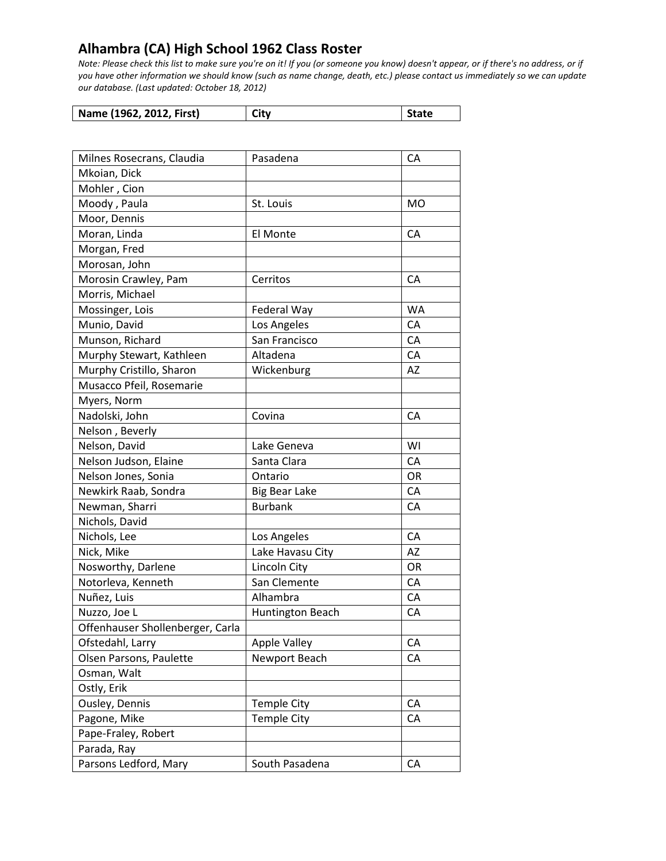| Name (1962, 2012, First) | City | State |
|--------------------------|------|-------|
|--------------------------|------|-------|

| Milnes Rosecrans, Claudia        | Pasadena             | CA        |
|----------------------------------|----------------------|-----------|
| Mkoian, Dick                     |                      |           |
| Mohler, Cion                     |                      |           |
| Moody, Paula                     | St. Louis            | <b>MO</b> |
| Moor, Dennis                     |                      |           |
| Moran, Linda                     | El Monte             | CA        |
| Morgan, Fred                     |                      |           |
| Morosan, John                    |                      |           |
| Morosin Crawley, Pam             | Cerritos             | CA        |
| Morris, Michael                  |                      |           |
| Mossinger, Lois                  | Federal Way          | <b>WA</b> |
| Munio, David                     | Los Angeles          | CA        |
| Munson, Richard                  | San Francisco        | CA        |
| Murphy Stewart, Kathleen         | Altadena             | CA        |
| Murphy Cristillo, Sharon         | Wickenburg           | AZ        |
| Musacco Pfeil, Rosemarie         |                      |           |
| Myers, Norm                      |                      |           |
| Nadolski, John                   | Covina               | CA        |
| Nelson, Beverly                  |                      |           |
| Nelson, David                    | Lake Geneva          | WI        |
| Nelson Judson, Elaine            | Santa Clara          | CA        |
| Nelson Jones, Sonia              | Ontario              | <b>OR</b> |
| Newkirk Raab, Sondra             | <b>Big Bear Lake</b> | CA        |
| Newman, Sharri                   | <b>Burbank</b>       | CA        |
| Nichols, David                   |                      |           |
| Nichols, Lee                     | Los Angeles          | CA        |
| Nick, Mike                       | Lake Havasu City     | <b>AZ</b> |
| Nosworthy, Darlene               | Lincoln City         | 0R        |
| Notorleva, Kenneth               | San Clemente         | CA        |
| Nuñez, Luis                      | Alhambra             | CA        |
| Nuzzo, Joe L                     | Huntington Beach     | CA        |
| Offenhauser Shollenberger, Carla |                      |           |
| Ofstedahl, Larry                 | <b>Apple Valley</b>  | CA        |
| Olsen Parsons, Paulette          | Newport Beach        | CA        |
| Osman, Walt                      |                      |           |
| Ostly, Erik                      |                      |           |
| Ousley, Dennis                   | <b>Temple City</b>   | CA        |
| Pagone, Mike                     | <b>Temple City</b>   | CA        |
| Pape-Fraley, Robert              |                      |           |
| Parada, Ray                      |                      |           |
| Parsons Ledford, Mary            | South Pasadena       | СA        |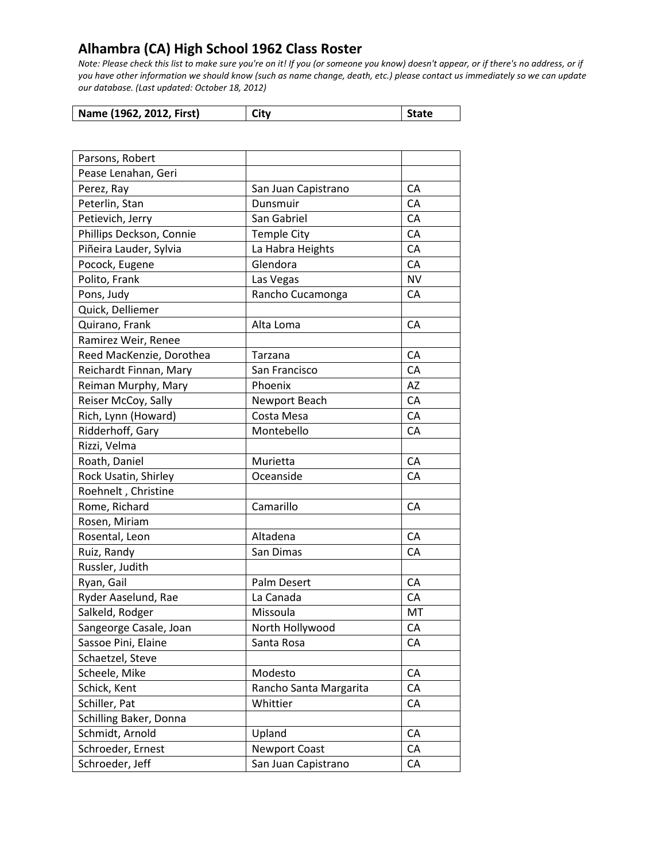| Name (1962, 2012, First) | City | <b>State</b> |
|--------------------------|------|--------------|

| Parsons, Robert          |                        |           |
|--------------------------|------------------------|-----------|
| Pease Lenahan, Geri      |                        |           |
| Perez, Ray               | San Juan Capistrano    | CA        |
| Peterlin, Stan           | Dunsmuir               | СA        |
| Petievich, Jerry         | San Gabriel            | CA        |
| Phillips Deckson, Connie | <b>Temple City</b>     | CA        |
| Piñeira Lauder, Sylvia   | La Habra Heights       | CA        |
| Pocock, Eugene           | Glendora               | CA        |
| Polito, Frank            | Las Vegas              | <b>NV</b> |
| Pons, Judy               | Rancho Cucamonga       | CA        |
| Quick, Delliemer         |                        |           |
| Quirano, Frank           | Alta Loma              | CA        |
| Ramirez Weir, Renee      |                        |           |
| Reed MacKenzie, Dorothea | Tarzana                | CA        |
| Reichardt Finnan, Mary   | San Francisco          | CA        |
| Reiman Murphy, Mary      | Phoenix                | AZ        |
| Reiser McCoy, Sally      | Newport Beach          | CA        |
| Rich, Lynn (Howard)      | Costa Mesa             | CA        |
| Ridderhoff, Gary         | Montebello             | CA        |
| Rizzi, Velma             |                        |           |
| Roath, Daniel            | Murietta               | CA        |
| Rock Usatin, Shirley     | Oceanside              | CA        |
| Roehnelt, Christine      |                        |           |
| Rome, Richard            | Camarillo              | CA        |
| Rosen, Miriam            |                        |           |
| Rosental, Leon           | Altadena               | CA        |
| Ruiz, Randy              | San Dimas              | CA        |
| Russler, Judith          |                        |           |
| Ryan, Gail               | Palm Desert            | CA        |
| Ryder Aaselund, Rae      | La Canada              | CA        |
| Salkeld, Rodger          | Missoula               | MT        |
| Sangeorge Casale, Joan   | North Hollywood        | CA        |
| Sassoe Pini, Elaine      | Santa Rosa             | СA        |
| Schaetzel, Steve         |                        |           |
| Scheele, Mike            | Modesto                | CA        |
| Schick, Kent             | Rancho Santa Margarita | CA        |
| Schiller, Pat            | Whittier               | CA        |
| Schilling Baker, Donna   |                        |           |
| Schmidt, Arnold          | Upland                 | CA        |
| Schroeder, Ernest        | <b>Newport Coast</b>   | CA        |
| Schroeder, Jeff          | San Juan Capistrano    | CA        |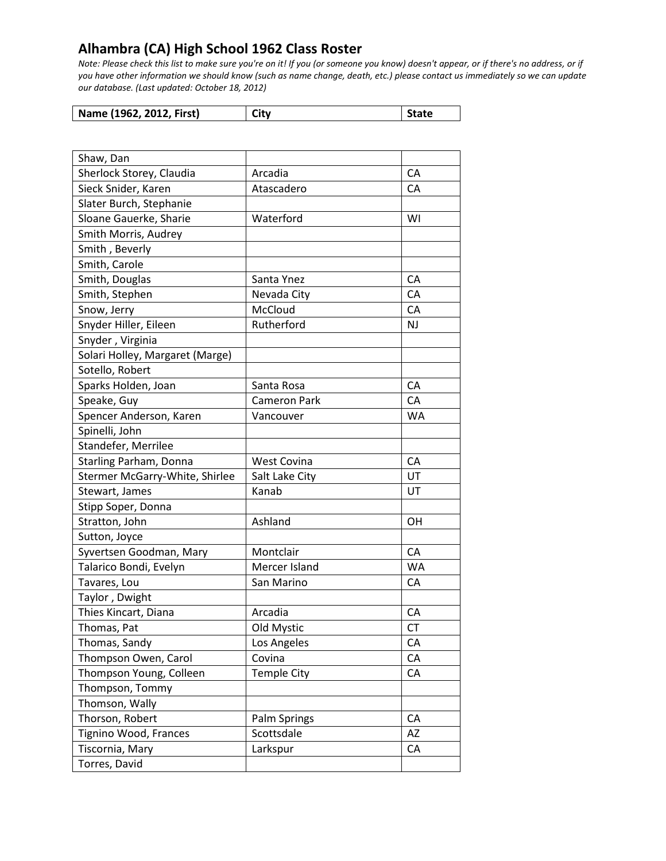| Name (1962, 2012, First) | City | <b>State</b> |
|--------------------------|------|--------------|
|--------------------------|------|--------------|

| Shaw, Dan                       |                     |           |
|---------------------------------|---------------------|-----------|
| Sherlock Storey, Claudia        | Arcadia             | CA        |
| Sieck Snider, Karen             | Atascadero          | <b>CA</b> |
| Slater Burch, Stephanie         |                     |           |
| Sloane Gauerke, Sharie          | Waterford           | WI        |
| Smith Morris, Audrey            |                     |           |
| Smith, Beverly                  |                     |           |
| Smith, Carole                   |                     |           |
| Smith, Douglas                  | Santa Ynez          | CA        |
| Smith, Stephen                  | Nevada City         | СA        |
| Snow, Jerry                     | McCloud             | CA        |
| Snyder Hiller, Eileen           | Rutherford          | <b>NJ</b> |
| Snyder, Virginia                |                     |           |
| Solari Holley, Margaret (Marge) |                     |           |
| Sotello, Robert                 |                     |           |
| Sparks Holden, Joan             | Santa Rosa          | CA        |
| Speake, Guy                     | <b>Cameron Park</b> | CA        |
| Spencer Anderson, Karen         | Vancouver           | WA        |
| Spinelli, John                  |                     |           |
| Standefer, Merrilee             |                     |           |
| Starling Parham, Donna          | <b>West Covina</b>  | CA        |
| Stermer McGarry-White, Shirlee  | Salt Lake City      | UT        |
| Stewart, James                  | Kanab               | UT        |
| Stipp Soper, Donna              |                     |           |
| Stratton, John                  | Ashland             | OH        |
| Sutton, Joyce                   |                     |           |
| Syvertsen Goodman, Mary         | Montclair           | CA        |
| Talarico Bondi, Evelyn          | Mercer Island       | <b>WA</b> |
| Tavares, Lou                    | San Marino          | CA        |
| Taylor, Dwight                  |                     |           |
| Thies Kincart, Diana            | Arcadia             | <b>CA</b> |
| Thomas, Pat                     | Old Mystic          | <b>CT</b> |
| Thomas, Sandy                   | Los Angeles         | СA        |
| Thompson Owen, Carol            | Covina              | CA        |
| Thompson Young, Colleen         | <b>Temple City</b>  | CA        |
| Thompson, Tommy                 |                     |           |
| Thomson, Wally                  |                     |           |
| Thorson, Robert                 | Palm Springs        | CA        |
| Tignino Wood, Frances           | Scottsdale          | AZ        |
| Tiscornia, Mary                 | Larkspur            | CA        |
| Torres, David                   |                     |           |